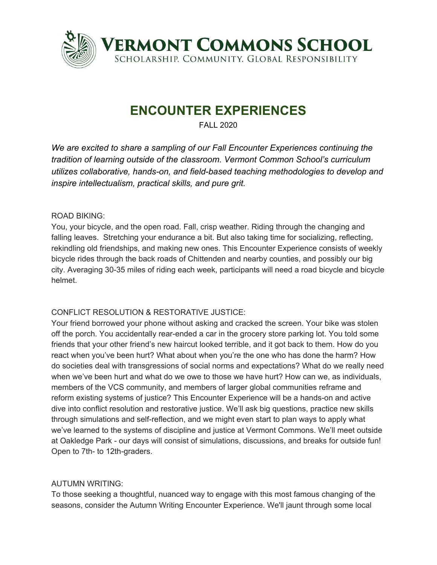

# **ENCOUNTER EXPERIENCES**

FALL 2020

*We are excited to share a sampling of our Fall Encounter Experiences continuing the tradition of learning outside of the classroom. Vermont Common School's curriculum utilizes collaborative, hands-on, and field-based teaching methodologies to develop and inspire intellectualism, practical skills, and pure grit.*

#### ROAD BIKING:

You, your bicycle, and the open road. Fall, crisp weather. Riding through the changing and falling leaves. Stretching your endurance a bit. But also taking time for socializing, reflecting, rekindling old friendships, and making new ones. This Encounter Experience consists of weekly bicycle rides through the back roads of Chittenden and nearby counties, and possibly our big city. Averaging 30-35 miles of riding each week, participants will need a road bicycle and bicycle helmet.

## CONFLICT RESOLUTION & RESTORATIVE JUSTICE:

Your friend borrowed your phone without asking and cracked the screen. Your bike was stolen off the porch. You accidentally rear-ended a car in the grocery store parking lot. You told some friends that your other friend's new haircut looked terrible, and it got back to them. How do you react when you've been hurt? What about when you're the one who has done the harm? How do societies deal with transgressions of social norms and expectations? What do we really need when we've been hurt and what do we owe to those we have hurt? How can we, as individuals, members of the VCS community, and members of larger global communities reframe and reform existing systems of justice? This Encounter Experience will be a hands-on and active dive into conflict resolution and restorative justice. We'll ask big questions, practice new skills through simulations and self-reflection, and we might even start to plan ways to apply what we've learned to the systems of discipline and justice at Vermont Commons. We'll meet outside at Oakledge Park - our days will consist of simulations, discussions, and breaks for outside fun! Open to 7th- to 12th-graders.

## AUTUMN WRITING:

To those seeking a thoughtful, nuanced way to engage with this most famous changing of the seasons, consider the Autumn Writing Encounter Experience. We'll jaunt through some local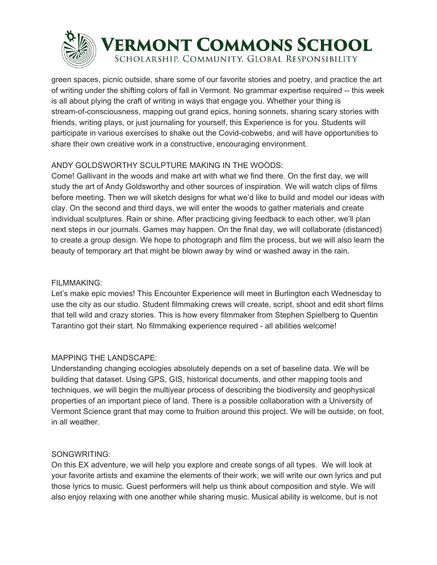

# **ERMONT COMMONS SCHOOL**

SCHOLARSHIP. COMMUNITY. GLOBAL RESPONSIBILITY

green spaces, picnic outside, share some of our favorite stories and poetry, and practice the art of writing under the shifting colors of fall in Vermont. No grammar expertise required -- this week is all about plying the craft of writing in ways that engage you. Whether your thing is stream-of-consciousness, mapping out grand epics, honing sonnets, sharing scary stories with friends, writing plays, or just journaling for yourself, this Experience is for you. Students will participate in various exercises to shake out the Covid-cobwebs, and will have opportunities to share their own creative work in a constructive, encouraging environment.

# ANDY GOLDSWORTHY SCULPTURE MAKING IN THE WOODS:

Come! Gallivant in the woods and make art with what we find there. On the first day, we will study the art of Andy Goldsworthy and other sources of inspiration. We will watch clips of films before meeting. Then we will sketch designs for what we'd like to build and model our ideas with clay. On the second and third days, we will enter the woods to gather materials and create individual sculptures. Rain or shine. After practicing giving feedback to each other, we'll plan next steps in our journals. Games may happen. On the final day, we will collaborate (distanced) to create a group design. We hope to photograph and film the process, but we will also learn the beauty of temporary art that might be blown away by wind or washed away in the rain.

## FILMMAKING:

Let's make epic movies! This Encounter Experience will meet in Burlington each Wednesday to use the city as our studio. Student filmmaking crews will create, script, shoot and edit short films that tell wild and crazy stories. This is how every filmmaker from Stephen Spielberg to Quentin Tarantino got their start. No filmmaking experience required - all abilities welcome!

## MAPPING THE LANDSCAPE:

Understanding changing ecologies absolutely depends on a set of baseline data. We will be building that dataset. Using GPS, GIS, historical documents, and other mapping tools and techniques, we will begin the multiyear process of describing the biodiversity and geophysical properties of an important piece of land. There is a possible collaboration with a University of Vermont Science grant that may come to fruition around this project. We will be outside, on foot, in all weather.

## SONGWRITING:

On this EX adventure, we will help you explore and create songs of all types. We will look at your favorite artists and examine the elements of their work; we will write our own lyrics and put those lyrics to music. Guest performers will help us think about composition and style. We will also enjoy relaxing with one another while sharing music. Musical ability is welcome, but is not